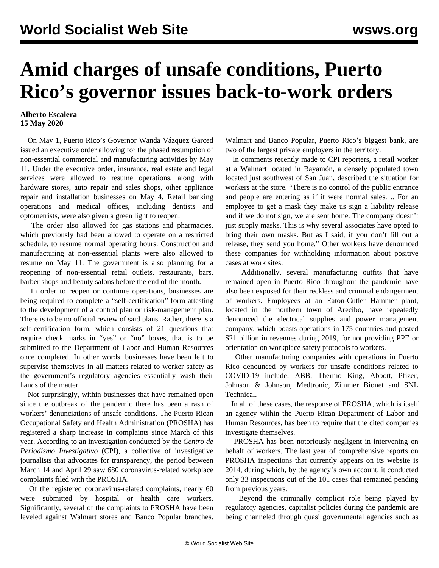## **Amid charges of unsafe conditions, Puerto Rico's governor issues back-to-work orders**

## **Alberto Escalera 15 May 2020**

 On May 1, Puerto Rico's Governor Wanda Vázquez Garced issued an executive order allowing for the phased resumption of non-essential commercial and manufacturing activities by May 11. Under the executive order, insurance, real estate and legal services were allowed to resume operations, along with hardware stores, auto repair and sales shops, other appliance repair and installation businesses on May 4. Retail banking operations and medical offices, including dentists and optometrists, were also given a green light to reopen.

 The order also allowed for gas stations and pharmacies, which previously had been allowed to operate on a restricted schedule, to resume normal operating hours. Construction and manufacturing at non-essential plants were also allowed to resume on May 11. The government is also planning for a reopening of non-essential retail outlets, restaurants, bars, barber shops and beauty salons before the end of the month.

 In order to reopen or continue operations, businesses are being required to complete a "self-certification" form attesting to the development of a control plan or risk-management plan. There is to be no official review of said plans. Rather, there is a self-certification form, which consists of 21 questions that require check marks in "yes" or "no" boxes, that is to be submitted to the Department of Labor and Human Resources once completed. In other words, businesses have been left to supervise themselves in all matters related to worker safety as the government's regulatory agencies essentially wash their hands of the matter.

 Not surprisingly, within businesses that have remained open since the outbreak of the pandemic there has been a rash of workers' denunciations of unsafe conditions. The Puerto Rican Occupational Safety and Health Administration (PROSHA) has registered a sharp increase in complaints since March of this year. According to an investigation conducted by the *Centro de Periodismo Investigativo* (CPI), a collective of investigative journalists that advocates for transparency, the period between March 14 and April 29 saw 680 coronavirus-related workplace complaints filed with the PROSHA.

 Of the registered coronavirus-related complaints, nearly 60 were submitted by hospital or health care workers. Significantly, several of the complaints to PROSHA have been leveled against Walmart stores and Banco Popular branches. Walmart and Banco Popular, Puerto Rico's biggest bank, are two of the largest private employers in the territory.

 In comments recently made to CPI reporters, a retail worker at a Walmart located in Bayamón, a densely populated town located just southwest of San Juan, described the situation for workers at the store. "There is no control of the public entrance and people are entering as if it were normal sales. .. For an employee to get a mask they make us sign a liability release and if we do not sign, we are sent home. The company doesn't just supply masks. This is why several associates have opted to bring their own masks. But as I said, if you don't fill out a release, they send you home." Other workers have denounced these companies for withholding information about positive cases at work sites.

 Additionally, several manufacturing outfits that have remained open in Puerto Rico throughout the pandemic have also been exposed for their reckless and criminal endangerment of workers. Employees at an Eaton-Cutler Hammer plant, located in the northern town of Arecibo, have repeatedly denounced the electrical supplies and power management company, which boasts operations in 175 countries and posted \$21 billion in revenues during 2019, for not providing PPE or orientation on workplace safety protocols to workers.

 Other manufacturing companies with operations in Puerto Rico denounced by workers for unsafe conditions related to COVID-19 include: ABB, Thermo King, Abbott, Pfizer, Johnson & Johnson, Medtronic, Zimmer Bionet and SNL Technical.

 In all of these cases, the response of PROSHA, which is itself an agency within the Puerto Rican Department of Labor and Human Resources, has been to require that the cited companies investigate themselves.

 PROSHA has been notoriously negligent in intervening on behalf of workers. The last year of comprehensive reports on PROSHA inspections that currently appears on its website is 2014, during which, by the agency's own account, it conducted only 33 inspections out of the 101 cases that remained pending from previous years.

 Beyond the criminally complicit role being played by regulatory agencies, capitalist policies during the pandemic are being channeled through quasi governmental agencies such as